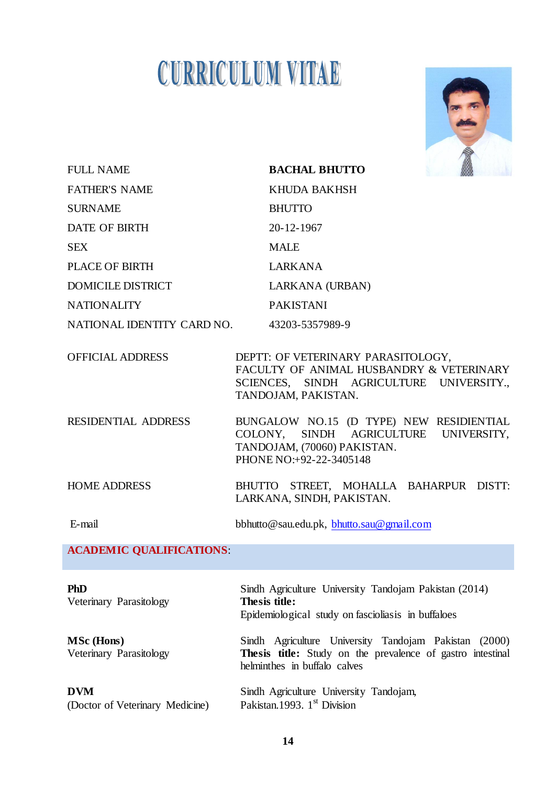# **CURRICULUM VITAE**



| <b>FULL NAME</b>                              | <b>BACHAL BHUTTO</b>                                                                                                                                |
|-----------------------------------------------|-----------------------------------------------------------------------------------------------------------------------------------------------------|
| <b>FATHER'S NAME</b>                          | KHUDA BAKHSH                                                                                                                                        |
| <b>SURNAME</b>                                | <b>BHUTTO</b>                                                                                                                                       |
| <b>DATE OF BIRTH</b>                          | 20-12-1967                                                                                                                                          |
| <b>SEX</b>                                    | <b>MALE</b>                                                                                                                                         |
| PLACE OF BIRTH                                | <b>LARKANA</b>                                                                                                                                      |
| <b>DOMICILE DISTRICT</b>                      | LARKANA (URBAN)                                                                                                                                     |
| <b>NATIONALITY</b>                            | <b>PAKISTANI</b>                                                                                                                                    |
| NATIONAL IDENTITY CARD NO.                    | 43203-5357989-9                                                                                                                                     |
| <b>OFFICIAL ADDRESS</b>                       | DEPTT: OF VETERINARY PARASITOLOGY,<br>FACULTY OF ANIMAL HUSBANDRY & VETERINARY<br>SCIENCES, SINDH AGRICULTURE UNIVERSITY.,<br>TANDOJAM, PAKISTAN.   |
| <b>RESIDENTIAL ADDRESS</b>                    | BUNGALOW NO.15 (D TYPE) NEW RESIDIENTIAL<br>COLONY, SINDH AGRICULTURE UNIVERSITY,<br>TANDOJAM, (70060) PAKISTAN.<br>PHONE NO: +92-22-3405148        |
| <b>HOME ADDRESS</b>                           | BHUTTO STREET, MOHALLA BAHARPUR DISTT:<br>LARKANA, SINDH, PAKISTAN.                                                                                 |
| E-mail                                        | bbhutto@sau.edu.pk, bhutto.sau@gmail.com                                                                                                            |
| <b>ACADEMIC QUALIFICATIONS:</b>               |                                                                                                                                                     |
| <b>PhD</b><br>Veterinary Parasitology         | Sindh Agriculture University Tandojam Pakistan (2014)<br>Thesis title:<br>Epidemiological study on fascioliasis in buffaloes                        |
| <b>MSc</b> (Hons)<br>Veterinary Parasitology  | Sindh Agriculture University Tandojam Pakistan (2000)<br>Thesis title: Study on the prevalence of gastro intestinal<br>helminthes in buffalo calves |
| <b>DVM</b><br>(Doctor of Veterinary Medicine) | Sindh Agriculture University Tandojam,<br>Pakistan.1993. 1 <sup>st</sup> Division                                                                   |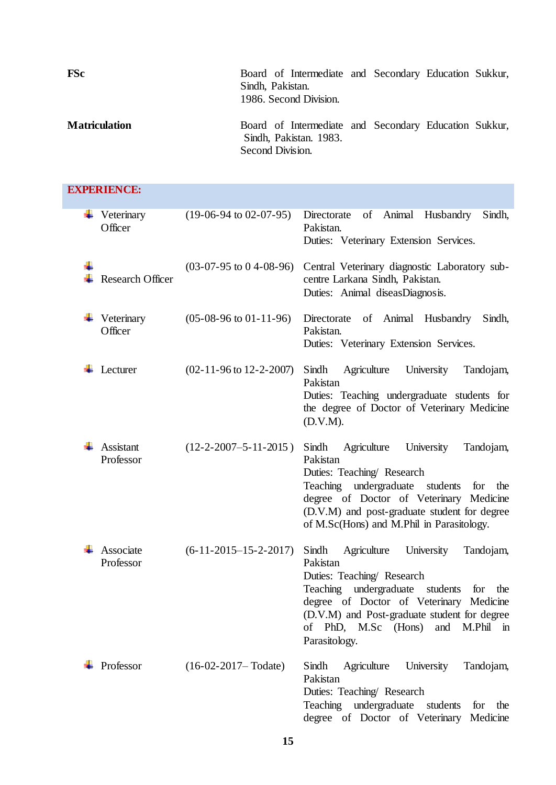| <b>FSc</b>           | Board of Intermediate and Secondary Education Sukkur,<br>Sindh, Pakistan.<br>1986. Second Division. |  |  |
|----------------------|-----------------------------------------------------------------------------------------------------|--|--|
| <b>Matriculation</b> | Board of Intermediate and Secondary Education Sukkur,<br>Sindh, Pakistan. 1983.<br>Second Division. |  |  |

| <b>EXPERIENCE:</b>      |                                    |                                                                                                                                                                                                                                                                                             |
|-------------------------|------------------------------------|---------------------------------------------------------------------------------------------------------------------------------------------------------------------------------------------------------------------------------------------------------------------------------------------|
| Veterinary<br>Officer   | $(19-06-94 \text{ to } 02-07-95)$  | of Animal<br>Directorate<br>Husbandry<br>Sindh,<br>Pakistan.<br>Duties: Veterinary Extension Services.                                                                                                                                                                                      |
| <b>Research Officer</b> | $(03-07-95 \text{ to } 04-08-96)$  | Central Veterinary diagnostic Laboratory sub-<br>centre Larkana Sindh, Pakistan.<br>Duties: Animal diseasDiagnosis.                                                                                                                                                                         |
| Veterinary<br>Officer   | $(05-08-96 \text{ to } 01-11-96)$  | Directorate of Animal Husbandry<br>Sindh,<br>Pakistan.<br>Duties: Veterinary Extension Services.                                                                                                                                                                                            |
| Lecturer                | $(02-11-96 \text{ to } 12-2-2007)$ | Sindh<br>Agriculture<br>University<br>Tandojam,<br>Pakistan<br>Duties: Teaching undergraduate students for<br>the degree of Doctor of Veterinary Medicine<br>(D.V.M).                                                                                                                       |
| Assistant<br>Professor  | $(12-2-2007-5-11-2015)$            | Sindh<br>Agriculture<br>University<br>Tandojam,<br>Pakistan<br>Duties: Teaching/ Research<br>undergraduate students<br>Teaching<br>for<br>the<br>degree of Doctor of Veterinary Medicine<br>(D.V.M) and post-graduate student for degree<br>of M.Sc(Hons) and M.Phil in Parasitology.       |
| Associate<br>Professor  | $(6-11-2015-15-2-2017)$            | Sindh<br>Agriculture<br>University<br>Tandojam,<br>Pakistan<br>Duties: Teaching/ Research<br>Teaching undergraduate students for the<br>degree of Doctor of Veterinary Medicine<br>(D.V.M) and Post-graduate student for degree<br>of PhD, M.Sc (Hons)<br>and<br>M.Phil in<br>Parasitology. |
| Professor               | $(16-02-2017 - \text{Todate})$     | Sindh<br>Agriculture<br>University<br>Tandojam,<br>Pakistan<br>Duties: Teaching/ Research<br>undergraduate<br><b>Teaching</b><br>students<br>for<br>the<br>degree of Doctor of Veterinary Medicine                                                                                          |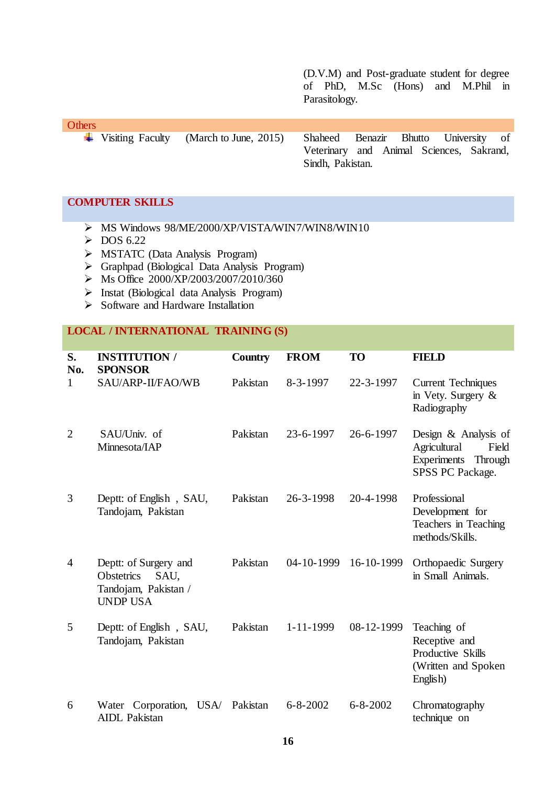(D.V.M) and Post-graduate student for degree of PhD, M.Sc (Hons) and M.Phil in Parasitology.

**Others** Visiting Faculty (March to June, 2015) Shaheed Benazir Bhutto University of Veterinary and Animal Sciences, Sakrand, Sindh, Pakistan.

#### **COMPUTER SKILLS**

- $\triangleright$  MS Windows 98/ME/2000/XP/VISTA/WIN7/WIN8/WIN10
- $\triangleright$  DOS 6.22
- MSTATC (Data Analysis Program)
- Graphpad (Biological Data Analysis Program)
- $\triangleright$  Ms Office 2000/XP/2003/2007/2010/360
- $\triangleright$  Instat (Biological data Analysis Program)
- $\triangleright$  Software and Hardware Installation

# **LOCAL / INTERNATIONAL TRAINING (S)**

| S.<br>No.      | <b>INSTITUTION /</b><br><b>SPONSOR</b>                                                        | <b>Country</b> | <b>FROM</b>     | <b>TO</b>      | <b>FIELD</b>                                                                                |
|----------------|-----------------------------------------------------------------------------------------------|----------------|-----------------|----------------|---------------------------------------------------------------------------------------------|
| $\mathbf{1}$   | SAU/ARP-II/FAO/WB                                                                             | Pakistan       | $8 - 3 - 1997$  | 22-3-1997      | <b>Current Techniques</b><br>in Vety. Surgery $\&$<br>Radiography                           |
| $\overline{2}$ | SAU/Univ. of<br>Minnesota/IAP                                                                 | Pakistan       | 23-6-1997       | 26-6-1997      | Design & Analysis of<br>Agricultural<br>Field<br>Experiments<br>Through<br>SPSS PC Package. |
| 3              | Deptt: of English, SAU,<br>Tandojam, Pakistan                                                 | Pakistan       | 26-3-1998       | 20-4-1998      | Professional<br>Development for<br>Teachers in Teaching<br>methods/Skills.                  |
| $\overline{4}$ | Deptt: of Surgery and<br>SAU,<br><b>Obstetrics</b><br>Tandojam, Pakistan /<br><b>UNDP USA</b> | Pakistan       | 04-10-1999      | 16-10-1999     | <b>Orthopaedic Surgery</b><br>in Small Animals.                                             |
| 5              | Deptt: of English, SAU,<br>Tandojam, Pakistan                                                 | Pakistan       | $1 - 11 - 1999$ | 08-12-1999     | Teaching of<br>Receptive and<br>Productive Skills<br>(Written and Spoken<br>English)        |
| 6              | Water Corporation,<br>USA/<br><b>AIDL</b> Pakistan                                            | Pakistan       | $6 - 8 - 2002$  | $6 - 8 - 2002$ | Chromatography<br>technique on                                                              |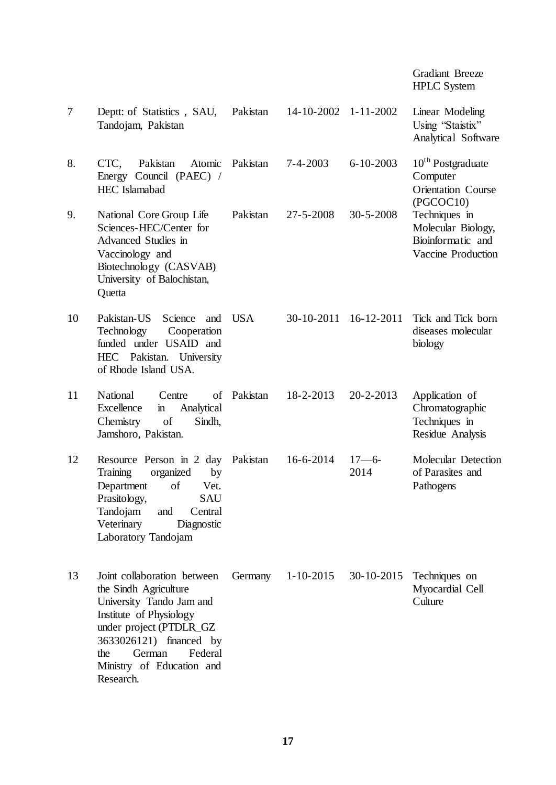|    |                                                                                                                                                                                                                                         |            |                      |                  | <b>Gradiant Breeze</b><br><b>HPLC</b> System                                        |
|----|-----------------------------------------------------------------------------------------------------------------------------------------------------------------------------------------------------------------------------------------|------------|----------------------|------------------|-------------------------------------------------------------------------------------|
| 7  | Deptt: of Statistics, SAU,<br>Tandojam, Pakistan                                                                                                                                                                                        | Pakistan   | 14-10-2002 1-11-2002 |                  | Linear Modeling<br>Using "Staistix"<br>Analytical Software                          |
| 8. | Pakistan<br>CTC.<br>Atomic<br>Energy Council (PAEC) /<br><b>HEC</b> Islamabad                                                                                                                                                           | Pakistan   | $7 - 4 - 2003$       | $6 - 10 - 2003$  | 10 <sup>th</sup> Postgraduate<br>Computer<br><b>Orientation Course</b><br>(PGCOC10) |
| 9. | National Core Group Life<br>Sciences-HEC/Center for<br>Advanced Studies in<br>Vaccinology and<br>Biotechnology (CASVAB)<br>University of Balochistan,<br>Quetta                                                                         | Pakistan   | 27-5-2008            | $30 - 5 - 2008$  | Techniques in<br>Molecular Biology,<br>Bioinformatic and<br>Vaccine Production      |
| 10 | Pakistan-US<br>Science<br>and<br>Technology<br>Cooperation<br>funded under USAID and<br>HEC Pakistan. University<br>of Rhode Island USA.                                                                                                | <b>USA</b> | 30-10-2011           | $16 - 12 - 2011$ | Tick and Tick born<br>diseases molecular<br>biology                                 |
| 11 | National<br>of<br>Centre<br>Excellence<br>Analytical<br>$\mathbf{m}$<br>Chemistry<br>of<br>Sindh,<br>Jamshoro, Pakistan.                                                                                                                | Pakistan   | 18-2-2013            | $20 - 2 - 2013$  | Application of<br>Chromatographic<br>Techniques in<br>Residue Analysis              |
| 12 | Resource Person in 2 day<br>Training<br>organized<br>by<br>Department of<br>Vet.<br>Prasitology,<br><b>SAU</b><br>Tandojam<br>Central<br>and<br>Veterinary<br>Diagnostic<br>Laboratory Tandojam                                         | Pakistan   | 16-6-2014            | $17 - 6$<br>2014 | Molecular Detection<br>of Parasites and<br>Pathogens                                |
| 13 | Joint collaboration between<br>the Sindh Agriculture<br>University Tando Jam and<br>Institute of Physiology<br>under project (PTDLR_GZ<br>3633026121) financed by<br>Federal<br>German<br>the<br>Ministry of Education and<br>Research. | Germany    | $1 - 10 - 2015$      | 30-10-2015       | Techniques on<br>Myocardial Cell<br>Culture                                         |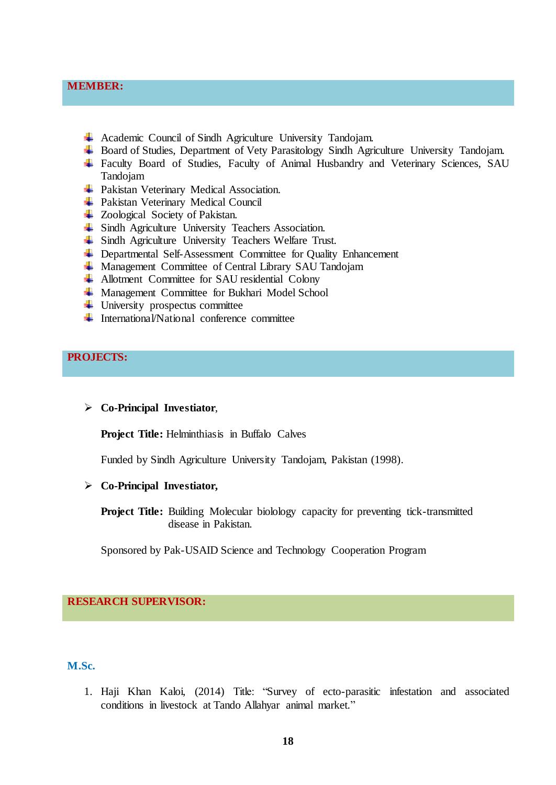# **MEMBER:**

- Academic Council of Sindh Agriculture University Tandojam.
- Board of Studies, Department of Vety Parasitology Sindh Agriculture University Tandojam.
- Faculty Board of Studies, Faculty of Animal Husbandry and Veterinary Sciences, SAU Tandojam
- **+** Pakistan Veterinary Medical Association.
- + Pakistan Veterinary Medical Council
- $\overline{\phantom{a}}$  **Zoological Society of Pakistan.**
- $\overline{\phantom{a}}$  Sindh Agriculture University Teachers Association.
- Sindh Agriculture University Teachers Welfare Trust.
- + Departmental Self-Assessment Committee for Quality Enhancement
- **↓** Management Committee of Central Library SAU Tandojam
- **Allotment Committee for SAU residential Colony**
- $\overline{\text{M}}$  Management Committee for Bukhari Model School
- $\overline{\phantom{a}}$  University prospectus committee
- $\ddot{\bullet}$  International/National conference committee

# **PROJECTS:**

#### **Co-Principal Investiator**,

**Project Title:** Helminthiasis in Buffalo Calves

Funded by Sindh Agriculture University Tandojam, Pakistan (1998).

#### **Co-Principal Investiator,**

**Project Title:** Building Molecular biolology capacity for preventing tick-transmitted disease in Pakistan.

Sponsored by Pak-USAID Science and Technology Cooperation Program

# **RESEARCH SUPERVISOR:**

# **M.Sc.**

1. Haji Khan Kaloi, (2014) Title: "Survey of ecto-parasitic infestation and associated conditions in livestock at Tando Allahyar animal market."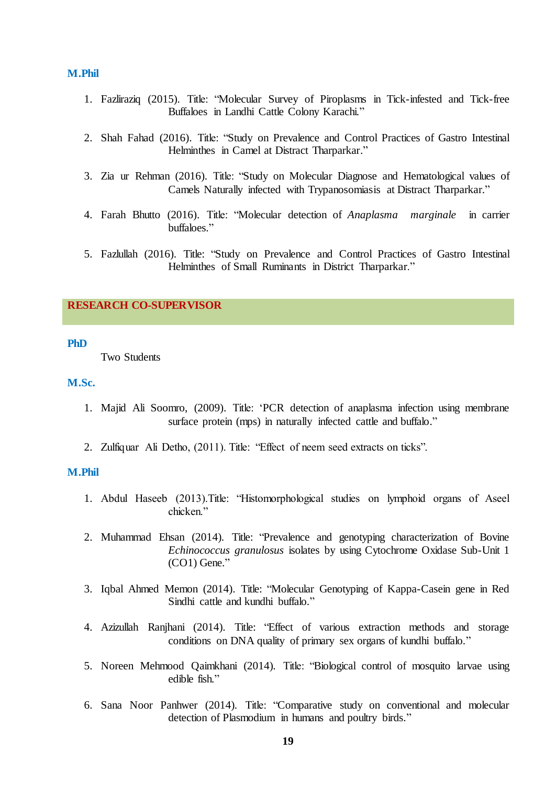#### **M.Phil**

- 1. Fazliraziq (2015). Title: "Molecular Survey of Piroplasms in Tick-infested and Tick-free Buffaloes in Landhi Cattle Colony Karachi."
- 2. Shah Fahad (2016). Title: "Study on Prevalence and Control Practices of Gastro Intestinal Helminthes in Camel at Distract Tharparkar."
- 3. Zia ur Rehman (2016). Title: "Study on Molecular Diagnose and Hematological values of Camels Naturally infected with Trypanosomiasis at Distract Tharparkar."
- 4. Farah Bhutto (2016). Title: "Molecular detection of *Anaplasma marginale* in carrier buffaloes."
- 5. Fazlullah (2016). Title: "Study on Prevalence and Control Practices of Gastro Intestinal Helminthes of Small Ruminants in District Tharparkar."

# **RESEARCH CO-SUPERVISOR**

#### **PhD**

Two Students

#### **M.Sc.**

- 1. Majid Ali Soomro, (2009). Title: 'PCR detection of anaplasma infection using membrane surface protein (mps) in naturally infected cattle and buffalo."
- 2. Zulfiquar Ali Detho, (2011). Title: "Effect of neem seed extracts on ticks".

#### **M.Phil**

- 1. Abdul Haseeb (2013). Title: "Histomorphological studies on lymphoid organs of Aseel chicken."
- 2. Muhammad Ehsan (2014). Title: "Prevalence and genotyping characterization of Bovine *Echinococcus granulosus* isolates by using Cytochrome Oxidase Sub-Unit 1  $(CO1)$  Gene."
- 3. Igbal Ahmed Memon (2014). Title: "Molecular Genotyping of Kappa-Casein gene in Red Sindhi cattle and kundhi buffalo."
- 4. Azizullah Ranjhani (2014). Title: "Effect of various extraction methods and storage conditions on DNA quality of primary sex organs of kundhi buffalo."
- 5. Noreen Mehmood Qaimkhani (2014). Title: "Biological control of mosquito larvae using edible fish."
- 6. Sana Noor Panhwer (2014). Title: "Comparative study on conventional and molecular detection of Plasmodium in humans and poultry birds."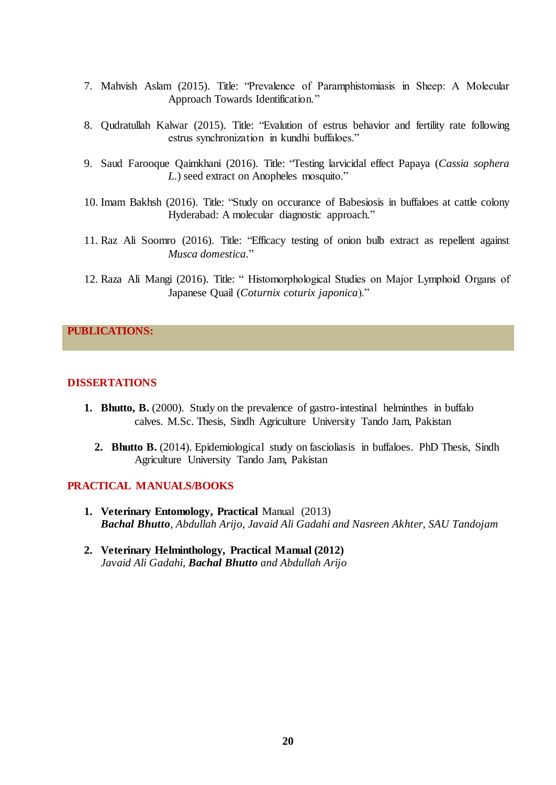- 7. Mahvish Aslam (2015). Title: "Prevalence of Paramphistomiasis in Sheep: A Molecular Approach Towards Identification."
- 8. Qudratullah Kalwar (2015). Title: "Evalution of estrus behavior and fertility rate following estrus synchronization in kundhi buffaloes."
- 9. Saud Farooque Qaimkhani (2016). Title: "Testing larvicidal effect Papaya (Cassia sophera *L.*) seed extract on Anopheles mosquito."
- 10. Imam Bakhsh (2016). Title: "Study on occurance of Babesiosis in buffaloes at cattle colony Hyderabad: A molecular diagnostic approach."
- 11. Raz Ali Soomro (2016). Title: "Efficacy testing of onion bulb extract as repellent against *Musca domestica.*‖
- 12. Raza Ali Mangi (2016). Title: "Histomorphological Studies on Major Lymphoid Organs of Japanese Quail (*Coturnix coturix japonica*)."

# **PUBLICATIONS:**

#### **DISSERTATIONS**

- **1. Bhutto, B.** (2000). Study on the prevalence of gastro-intestinal helminthes in buffalo calves. M.Sc. Thesis, Sindh Agriculture University Tando Jam, Pakistan
	- **2. Bhutto B.** (2014). Epidemiological study on fascioliasis in buffaloes. PhD Thesis, Sindh Agriculture University Tando Jam, Pakistan

# **PRACTICAL MANUALS/BOOKS**

- **1. Veterinary Entomology, Practical** Manual (2013) *Bachal Bhutto, Abdullah Arijo, Javaid Ali Gadahi and Nasreen Akhter, SAU Tandojam*
- **2. Veterinary Helminthology, Practical Manual (2012)** *Javaid Ali Gadahi, Bachal Bhutto and Abdullah Arijo*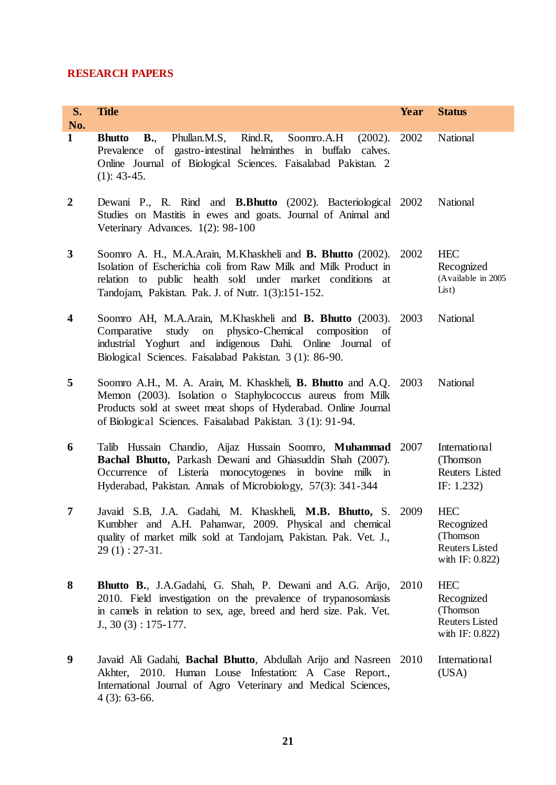# **RESEARCH PAPERS**

| S.<br>No.               | <b>Title</b>                                                                                                                                                                                                                                                 | Year | <b>Status</b>                                                                     |
|-------------------------|--------------------------------------------------------------------------------------------------------------------------------------------------------------------------------------------------------------------------------------------------------------|------|-----------------------------------------------------------------------------------|
| $\mathbf{1}$            | Phullan.M.S, Rind.R,<br>Soomro.A.H (2002).<br><b>Bhutto</b><br><b>B.</b><br>Prevalence of gastro-intestinal helminthes in buffalo calves.<br>Online Journal of Biological Sciences. Faisalabad Pakistan. 2<br>$(1): 43-45.$                                  | 2002 | National                                                                          |
| $\boldsymbol{2}$        | Dewani P., R. Rind and <b>B.Bhutto</b> (2002). Bacteriological 2002<br>Studies on Mastitis in ewes and goats. Journal of Animal and<br>Veterinary Advances. 1(2): 98-100                                                                                     |      | National                                                                          |
| $\mathbf{3}$            | Soomro A. H., M.A.Arain, M.Khaskheli and <b>B. Bhutto</b> (2002).<br>Isolation of Escherichia coli from Raw Milk and Milk Product in<br>relation to public health sold under market conditions at<br>Tandojam, Pakistan. Pak. J. of Nutr. 1(3):151-152.      | 2002 | <b>HEC</b><br>Recognized<br>(Available in 2005<br>List)                           |
| $\overline{\mathbf{4}}$ | Soomro AH, M.A.Arain, M.Khaskheli and <b>B. Bhutto</b> (2003). 2003<br>study on physico-Chemical composition<br>Comparative<br>of<br>industrial Yoghurt and indigenous Dahi. Online Journal of<br>Biological Sciences. Faisalabad Pakistan. 3 (1): 86-90.    |      | National                                                                          |
| 5                       | Soomro A.H., M. A. Arain, M. Khaskheli, B. Bhutto and A.Q. 2003<br>Memon (2003). Isolation o Staphylococcus aureus from Milk<br>Products sold at sweet meat shops of Hyderabad. Online Journal<br>of Biological Sciences. Faisalabad Pakistan. 3 (1): 91-94. |      | National                                                                          |
| 6                       | Talib Hussain Chandio, Aijaz Hussain Soomro, Muhammad 2007<br>Bachal Bhutto, Parkash Dewani and Ghiasuddin Shah (2007).<br>Occurrence of Listeria monocytogenes in bovine milk in<br>Hyderabad, Pakistan. Annals of Microbiology, 57(3): 341-344             |      | International<br>(Thomson<br>Reuters Listed<br>IF: $1.232$ )                      |
| 7                       | Javaid S.B, J.A. Gadahi, M. Khaskheli, M.B. Bhutto, S. 2009<br>Kumbher and A.H. Pahanwar, 2009. Physical and chemical<br>quality of market milk sold at Tandojam, Pakistan. Pak. Vet. J.,<br>$29(1): 27-31.$                                                 |      | <b>HEC</b><br>Recognized<br>(Thomson)<br><b>Reuters Listed</b><br>with IF: 0.822) |
| 8                       | Bhutto B., J.A.Gadahi, G. Shah, P. Dewani and A.G. Arijo,<br>2010. Field investigation on the prevalence of trypanosomiasis<br>in camels in relation to sex, age, breed and herd size. Pak. Vet.<br>$J., 30(3): 175-177.$                                    | 2010 | <b>HEC</b><br>Recognized<br>(Thomson<br><b>Reuters Listed</b><br>with IF: 0.822)  |
| 9                       | Javaid Ali Gadahi, <b>Bachal Bhutto</b> , Abdullah Arijo and Nasreen 2010<br>Akhter, 2010. Human Louse Infestation: A Case Report.,<br>International Journal of Agro Veterinary and Medical Sciences,<br>$4(3): 63-66.$                                      |      | International<br>(USA)                                                            |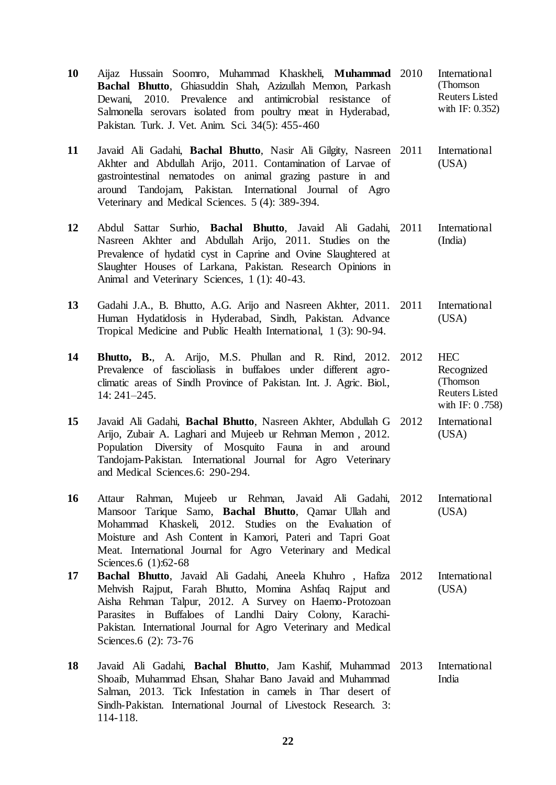- **10** Aijaz Hussain Soomro, Muhammad Khaskheli, **Muhammad Bachal Bhutto**, Ghiasuddin Shah, Azizullah Memon, Parkash Dewani, 2010. Prevalence and antimicrobial resistance of Salmonella serovars isolated from poultry meat in Hyderabad, Pakistan. Turk. J. Vet. Anim. Sci. 34(5): 455-460 International (Thomson Reuters Listed with IF: 0.352)
- **11** Javaid Ali Gadahi, **Bachal Bhutto**, Nasir Ali Gilgity, Nasreen Akhter and Abdullah Arijo, 2011. Contamination of Larvae of gastrointestinal nematodes on animal grazing pasture in and around Tandojam, Pakistan. International Journal of Agro Veterinary and Medical Sciences. 5 (4): 389-394. **International** (USA)
- **12** Abdul Sattar Surhio, **Bachal Bhutto**, Javaid Ali Gadahi, Nasreen Akhter and Abdullah Arijo, 2011. Studies on the Prevalence of hydatid cyst in Caprine and Ovine Slaughtered at Slaughter Houses of Larkana, Pakistan. Research Opinions in Animal and Veterinary Sciences, 1 (1): 40-43. 2011 International (India)
- **13** Gadahi J.A., B. Bhutto, A.G. Arijo and Nasreen Akhter, 2011. Human Hydatidosis in Hyderabad, Sindh, Pakistan. Advance Tropical Medicine and Public Health International, 1 (3): 90-94. **International**  $(USA)$
- **14 Bhutto, B.**, A. Arijo, M.S. Phullan and R. Rind, 2012. 2012 HEC Prevalence of fascioliasis in buffaloes under different agroclimatic areas of Sindh Province of Pakistan. Int. J. Agric. Biol., 14: 241–245. Recognized (Thomson Reuters Listed with IF: 0 .758)
- **15** Javaid Ali Gadahi, **Bachal Bhutto**, Nasreen Akhter, Abdullah G Arijo, Zubair A. Laghari and Mujeeb ur Rehman Memon , 2012. Population Diversity of Mosquito Fauna in and around Tandojam-Pakistan. International Journal for Agro Veterinary and Medical Sciences.6: 290-294. **International** (USA)
- **16** Attaur Rahman, Mujeeb ur Rehman, Javaid Ali Gadahi, Mansoor Tarique Samo, **Bachal Bhutto**, Qamar Ullah and Mohammad Khaskeli, 2012. Studies on the Evaluation of Moisture and Ash Content in Kamori, Pateri and Tapri Goat Meat. International Journal for Agro Veterinary and Medical Sciences.6 (1):62-68 **International** (USA)
- **17 Bachal Bhutto**, Javaid Ali Gadahi, Aneela Khuhro , Hafiza Mehvish Rajput, Farah Bhutto, Momina Ashfaq Rajput and Aisha Rehman Talpur, 2012. A Survey on Haemo-Protozoan Parasites in Buffaloes of Landhi Dairy Colony, Karachi-Pakistan. International Journal for Agro Veterinary and Medical Sciences.6 (2): 73-76 **International** (USA)
- **18** Javaid Ali Gadahi, **Bachal Bhutto**, Jam Kashif, Muhammad Shoaib, Muhammad Ehsan, Shahar Bano Javaid and Muhammad Salman, 2013. Tick Infestation in camels in Thar desert of Sindh-Pakistan. International Journal of Livestock Research. 3: 114-118. **International** India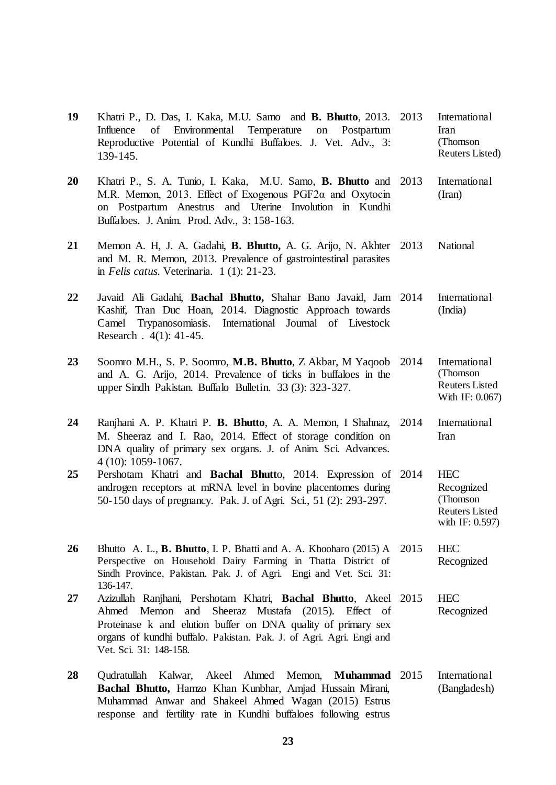- **19** Khatri P., D. Das, I. Kaka, M.U. Samo and **B. Bhutto**, 2013. Influence of Environmental Temperature on Postpartum Reproductive Potential of Kundhi Buffaloes. J. Vet. Adv., 3: 139-145. **International** Iran (Thomson Reuters Listed) **20** Khatri P., S. A. Tunio, I. Kaka, M.U. Samo, **B. Bhutto** and M.R. Memon, 2013. Effect of Exogenous PGF2α and Oxytocin on Postpartum Anestrus and Uterine Involution in Kundhi Buffaloes. J. Anim. Prod. Adv., 3: 158-163. **International** (Iran) **21** Memon A. H, J. A. Gadahi, **B. Bhutto,** A. G. Arijo, N. Akhter and M. R. Memon, 2013. Prevalence of gastrointestinal parasites in *Felis catus.* Veterinaria. 1 (1): 21-23. National **22** Javaid Ali Gadahi, **Bachal Bhutto,** Shahar Bano Javaid, Jam Kashif, Tran Duc Hoan, 2014. Diagnostic Approach towards Camel Trypanosomiasis. International Journal of Livestock Research . 4(1): 41-45. **International** (India) **23** Soomro M.H., S. P. Soomro, **M.B. Bhutto**, Z Akbar, M Yaqoob and A. G. Arijo, 2014. Prevalence of ticks in buffaloes in the upper Sindh Pakistan. Buffalo Bulletin. 33 (3): 323-327. 2014 International (Thomson Reuters Listed With IF: 0.067) **24** Ranjhani A. P. Khatri P. **B. Bhutto**, A. A. Memon, I Shahnaz, M. Sheeraz and I. Rao, 2014. Effect of storage condition on DNA quality of primary sex organs. J. of Anim. Sci. Advances. 4 (10): 1059-1067. 2014 International Iran **25** Pershotam Khatri and **Bachal Bhutt**o, 2014. Expression of 2014 HEC androgen receptors at mRNA level in bovine placentomes during 50-150 days of pregnancy. Pak. J. of Agri. Sci., 51 (2): 293-297. Recognized (Thomson Reuters Listed with IF: 0.597) **26** Bhutto A. L., **B. Bhutto**, I. P. Bhatti and A. A. Khooharo (2015) A 2015 HEC Perspective on Household Dairy Farming in Thatta District of Sindh Province, Pakistan. Pak. J. of Agri. Engi and Vet. Sci. 31: 136-147. Recognized **27** Azizullah Ranjhani, Pershotam Khatri, **Bachal Bhutto**, Akeel 2015 HEC Ahmed Memon and Sheeraz Mustafa (2015). Effect of Proteinase k and elution buffer on DNA quality of primary sex organs of kundhi buffalo. Pakistan. Pak. J. of Agri. Agri. Engi and Vet. Sci. 31: 148-158. Recognized **28** Qudratullah Kalwar, Akeel Ahmed Memon, **Muhammad International**
- **Bachal Bhutto,** Hamzo Khan Kunbhar, Amjad Hussain Mirani, Muhammad Anwar and Shakeel Ahmed Wagan (2015) Estrus response and fertility rate in Kundhi buffaloes following estrus (Bangladesh)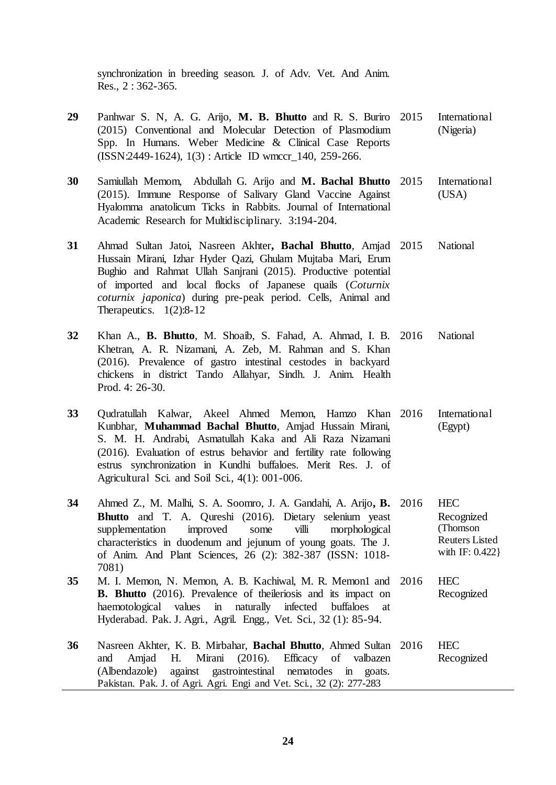synchronization in breeding season. J. of Adv. Vet. And Anim. Res., 2 : 362-365.

- **29** Panhwar S. N, A. G. Arijo, **M. B. Bhutto** and R. S. Buriro (2015) Conventional and Molecular Detection of Plasmodium Spp. In Humans. Weber Medicine & Clinical Case Reports (ISSN:2449-1624), 1(3) : Article ID wmccr\_140, 259-266. **International** (Nigeria)
- **30** Samiullah Memom, Abdullah G. Arijo and **M. Bachal Bhutto** (2015). Immune Response of Salivary Gland Vaccine Against Hyalomma anatolicum Ticks in Rabbits. Journal of International Academic Research for Multidisciplinary. 3:194-204. **International** (USA)
- **31** Ahmad Sultan Jatoi, Nasreen Akhter**, Bachal Bhutto**, Amjad Hussain Mirani, Izhar Hyder Qazi, Ghulam Mujtaba Mari, Erum Bughio and Rahmat Ullah Sanjrani (2015). Productive potential of imported and local flocks of Japanese quails (*Coturnix coturnix japonica*) during pre-peak period. Cells, Animal and Therapeutics.  $1(2):8-12$ National
- **32** Khan A., **B. Bhutto**, M. Shoaib, S. Fahad, A. Ahmad, I. B. Khetran, A. R. Nizamani, A. Zeb, M. Rahman and S. Khan (2016). Prevalence of gastro intestinal cestodes in backyard chickens in district Tando Allahyar, Sindh. J. Anim. Health Prod. 4: 26-30. National
- **33** Qudratullah Kalwar, Akeel Ahmed Memon, Hamzo Khan Kunbhar, **Muhammad Bachal Bhutto**, Amjad Hussain Mirani, S. M. H. Andrabi, Asmatullah Kaka and Ali Raza Nizamani (2016). Evaluation of estrus behavior and fertility rate following estrus synchronization in Kundhi buffaloes. Merit Res. J. of Agricultural Sci. and Soil Sci., 4(1): 001-006. International (Egypt)
- **34** Ahmed Z., M. Malhi, S. A. Soomro, J. A. Gandahi, A. Arijo**, B.**  2016 HEC **Bhutto** and T. A. Qureshi (2016). Dietary selenium yeast supplementation improved some villi morphological characteristics in duodenum and jejunum of young goats. The J. of Anim. And Plant Sciences, 26 (2): 382-387 (ISSN: 1018- 7081) Recognized (Thomson Reuters Listed with IF: 0.422} **35** M. I. Memon, N. Memon, A. B. Kachiwal, M. R. Memon1 and 2016 HEC
- **B. Bhutto** (2016). Prevalence of theileriosis and its impact on haemotological values in naturally infected buffaloes at Hyderabad. Pak. J. Agri., Agril. Engg., Vet. Sci., 32 (1): 85-94. Recognized
- **36** Nasreen Akhter, K. B. Mirbahar, **Bachal Bhutto**, Ahmed Sultan 2016 HEC and Amjad H. Mirani (2016). Efficacy of valbazen (Albendazole) against gastrointestinal nematodes in goats. Pakistan. Pak. J. of Agri. Agri. Engi and Vet. Sci., 32 (2): 277-283 Recognized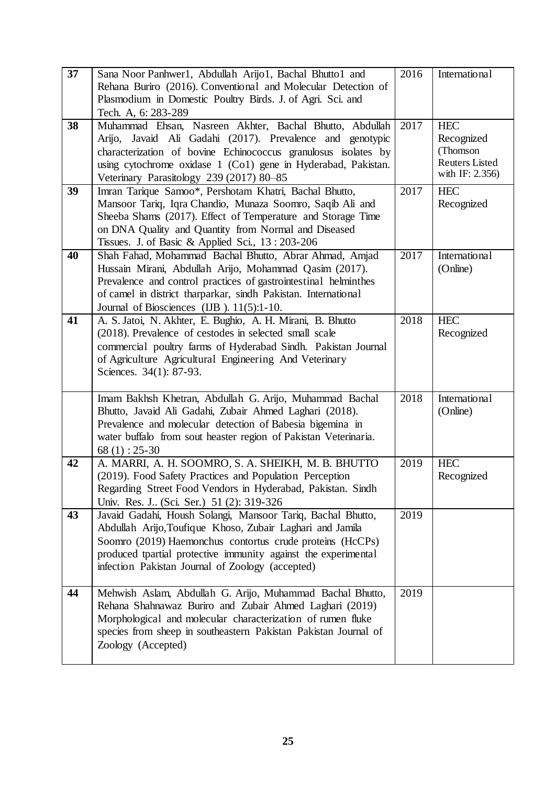| 37 | Sana Noor Panhwer1, Abdullah Arijo1, Bachal Bhutto1 and<br>Rehana Buriro (2016). Conventional and Molecular Detection of<br>Plasmodium in Domestic Poultry Birds. J. of Agri. Sci. and<br>Tech. A, 6:283-289                                                                                                | 2016 | International                                                                    |
|----|-------------------------------------------------------------------------------------------------------------------------------------------------------------------------------------------------------------------------------------------------------------------------------------------------------------|------|----------------------------------------------------------------------------------|
| 38 | Muhammad Ehsan, Nasreen Akhter, Bachal Bhutto, Abdullah<br>Arijo, Javaid Ali Gadahi (2017). Prevalence and genotypic<br>characterization of bovine Echinococcus granulosus isolates by<br>using cytochrome oxidase 1 (Co1) gene in Hyderabad, Pakistan.<br>Veterinary Parasitology 239 (2017) 80-85         | 2017 | <b>HEC</b><br>Recognized<br>(Thomson<br><b>Reuters Listed</b><br>with IF: 2.356) |
| 39 | Imran Tarique Samoo*, Pershotam Khatri, Bachal Bhutto,<br>Mansoor Tariq, Iqra Chandio, Munaza Soomro, Saqib Ali and<br>Sheeba Shams (2017). Effect of Temperature and Storage Time<br>on DNA Quality and Quantity from Normal and Diseased<br>Tissues. J. of Basic & Applied Sci., 13:203-206               | 2017 | <b>HEC</b><br>Recognized                                                         |
| 40 | Shah Fahad, Mohammad Bachal Bhutto, Abrar Ahmad, Amjad<br>Hussain Mirani, Abdullah Arijo, Mohammad Qasim (2017).<br>Prevalence and control practices of gastrointestinal helminthes<br>of camel in district tharparkar, sindh Pakistan. International<br>Journal of Biosciences (IJB). 11(5):1-10.          | 2017 | International<br>(Online)                                                        |
| 41 | A. S. Jatoi, N. Akhter, E. Bughio, A. H. Mirani, B. Bhutto<br>(2018). Prevalence of cestodes in selected small scale<br>commercial poultry farms of Hyderabad Sindh. Pakistan Journal<br>of Agriculture Agricultural Engineering And Veterinary<br>Sciences. 34(1): 87-93.                                  | 2018 | <b>HEC</b><br>Recognized                                                         |
|    | Imam Bakhsh Khetran, Abdullah G. Arijo, Muhammad Bachal<br>Bhutto, Javaid Ali Gadahi, Zubair Ahmed Laghari (2018).<br>Prevalence and molecular detection of Babesia bigemina in<br>water buffalo from sout heaster region of Pakistan Veterinaria.<br>$68(1): 25-30$                                        | 2018 | International<br>(Online)                                                        |
| 42 | A. MARRI, A. H. SOOMRO, S. A. SHEIKH, M. B. BHUTTO<br>(2019). Food Safety Practices and Population Perception<br>Regarding Street Food Vendors in Hyderabad, Pakistan. Sindh<br>Univ. Res. J (Sci. Ser.) 51 (2): 319-326                                                                                    | 2019 | <b>HEC</b><br>Recognized                                                         |
| 43 | Javaid Gadahi, Housh Solangi, Mansoor Tariq, Bachal Bhutto,<br>Abdullah Arijo, Toufique Khoso, Zubair Laghari and Jamila<br>Soomro (2019) Haemonchus contortus crude proteins (HcCPs)<br>produced tpartial protective immunity against the experimental<br>infection Pakistan Journal of Zoology (accepted) | 2019 |                                                                                  |
| 44 | Mehwish Aslam, Abdullah G. Arijo, Muhammad Bachal Bhutto,<br>Rehana Shahnawaz Buriro and Zubair Ahmed Laghari (2019)<br>Morphological and molecular characterization of rumen fluke<br>species from sheep in southeastern Pakistan Pakistan Journal of<br>Zoology (Accepted)                                | 2019 |                                                                                  |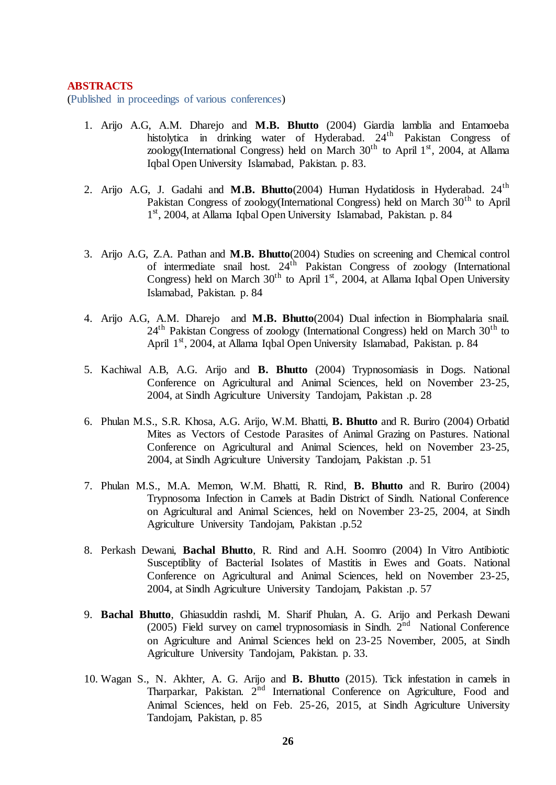#### **ABSTRACTS**

(Published in proceedings of various conferences)

- 1. Arijo A.G, A.M. Dharejo and **M.B. Bhutto** (2004) Giardia lamblia and Entamoeba histolytica in drinking water of Hyderabad. 24<sup>th</sup> Pakistan Congress of zoology(International Congress) held on March  $30<sup>th</sup>$  to April 1<sup>st</sup>, 2004, at Allama Iqbal Open University Islamabad, Pakistan. p. 83.
- 2. Arijo A.G, J. Gadahi and **M.B. Bhutto**(2004) Human Hydatidosis in Hyderabad. 24th Pakistan Congress of zoology(International Congress) held on March 30<sup>th</sup> to April 1<sup>st</sup>, 2004, at Allama Iqbal Open University Islamabad, Pakistan. p. 84
- 3. Arijo A.G, Z.A. Pathan and **M.B. Bhutto**(2004) Studies on screening and Chemical control of intermediate snail host.  $24<sup>th</sup>$  Pakistan Congress of zoology (International Congress) held on March  $30<sup>th</sup>$  to April  $1<sup>st</sup>$ , 2004, at Allama Iqbal Open University Islamabad, Pakistan. p. 84
- 4. Arijo A.G, A.M. Dharejo and **M.B. Bhutto**(2004) Dual infection in Biomphalaria snail.  $24<sup>th</sup>$  Pakistan Congress of zoology (International Congress) held on March  $30<sup>th</sup>$  to April 1<sup>st</sup>, 2004, at Allama Iqbal Open University Islamabad, Pakistan. p. 84
- 5. Kachiwal A.B, A.G. Arijo and **B. Bhutto** (2004) Trypnosomiasis in Dogs. National Conference on Agricultural and Animal Sciences, held on November 23-25, 2004, at Sindh Agriculture University Tandojam, Pakistan .p. 28
- 6. Phulan M.S., S.R. Khosa, A.G. Arijo, W.M. Bhatti, **B. Bhutto** and R. Buriro (2004) Orbatid Mites as Vectors of Cestode Parasites of Animal Grazing on Pastures. National Conference on Agricultural and Animal Sciences, held on November 23-25, 2004, at Sindh Agriculture University Tandojam, Pakistan .p. 51
- 7. Phulan M.S., M.A. Memon, W.M. Bhatti, R. Rind, **B. Bhutto** and R. Buriro (2004) Trypnosoma Infection in Camels at Badin District of Sindh. National Conference on Agricultural and Animal Sciences, held on November 23-25, 2004, at Sindh Agriculture University Tandojam, Pakistan .p.52
- 8. Perkash Dewani, **Bachal Bhutto**, R. Rind and A.H. Soomro (2004) In Vitro Antibiotic Susceptiblity of Bacterial Isolates of Mastitis in Ewes and Goats. National Conference on Agricultural and Animal Sciences, held on November 23-25, 2004, at Sindh Agriculture University Tandojam, Pakistan .p. 57
- 9. **Bachal Bhutto**, Ghiasuddin rashdi, M. Sharif Phulan, A. G. Arijo and Perkash Dewani (2005) Field survey on camel trypnosomiasis in Sindh.  $2<sup>nd</sup>$  National Conference on Agriculture and Animal Sciences held on 23-25 November, 2005, at Sindh Agriculture University Tandojam, Pakistan. p. 33.
- 10. Wagan S., N. Akhter, A. G. Arijo and **B. Bhutto** (2015). Tick infestation in camels in Tharparkar, Pakistan. 2<sup>nd</sup> International Conference on Agriculture, Food and Animal Sciences, held on Feb. 25-26, 2015, at Sindh Agriculture University Tandojam, Pakistan, p. 85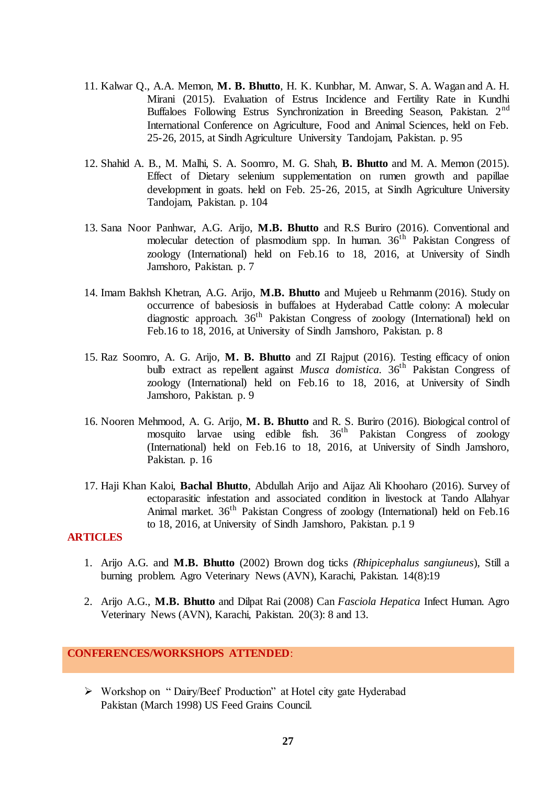- 11. Kalwar Q., A.A. Memon, **M. B. Bhutto**, H. K. Kunbhar, M. Anwar, S. A. Wagan and A. H. Mirani (2015). Evaluation of Estrus Incidence and Fertility Rate in Kundhi Buffaloes Following Estrus Synchronization in Breeding Season, Pakistan. 2<sup>nd</sup> International Conference on Agriculture, Food and Animal Sciences, held on Feb. 25-26, 2015, at Sindh Agriculture University Tandojam, Pakistan. p. 95
- 12. Shahid A. B., M. Malhi, S. A. Soomro, M. G. Shah, **B. Bhutto** and M. A. Memon (2015). Effect of Dietary selenium supplementation on rumen growth and papillae development in goats. held on Feb. 25-26, 2015, at Sindh Agriculture University Tandojam, Pakistan. p. 104
- 13. Sana Noor Panhwar, A.G. Arijo, **M.B. Bhutto** and R.S Buriro (2016). Conventional and molecular detection of plasmodium spp. In human.  $36<sup>th</sup>$  Pakistan Congress of zoology (International) held on Feb.16 to 18, 2016, at University of Sindh Jamshoro, Pakistan. p. 7
- 14. Imam Bakhsh Khetran, A.G. Arijo, **M.B. Bhutto** and Mujeeb u Rehmanm (2016). Study on occurrence of babesiosis in buffaloes at Hyderabad Cattle colony: A molecular diagnostic approach. 36<sup>th</sup> Pakistan Congress of zoology (International) held on Feb.16 to 18, 2016, at University of Sindh Jamshoro, Pakistan. p. 8
- 15. Raz Soomro, A. G. Arijo, **M. B. Bhutto** and ZI Rajput (2016). Testing efficacy of onion bulb extract as repellent against *Musca domistica.* 36th Pakistan Congress of zoology (International) held on Feb.16 to 18, 2016, at University of Sindh Jamshoro, Pakistan. p. 9
- 16. Nooren Mehmood, A. G. Arijo, **M. B. Bhutto** and R. S. Buriro (2016). Biological control of mosquito larvae using edible fish. 36th Pakistan Congress of zoology (International) held on Feb.16 to 18, 2016, at University of Sindh Jamshoro, Pakistan. p. 16
- 17. Haji Khan Kaloi, **Bachal Bhutto**, Abdullah Arijo and Aijaz Ali Khooharo (2016). Survey of ectoparasitic infestation and associated condition in livestock at Tando Allahyar Animal market.  $36<sup>th</sup>$  Pakistan Congress of zoology (International) held on Feb.16 to 18, 2016, at University of Sindh Jamshoro, Pakistan. p.1 9

#### **ARTICLES**

- 1. Arijo A.G. and **M.B. Bhutto** (2002) Brown dog ticks *(Rhipicephalus sangiuneus*), Still a burning problem. Agro Veterinary News (AVN), Karachi, Pakistan. 14(8):19
- 2. Arijo A.G., **M.B. Bhutto** and Dilpat Rai (2008) Can *Fasciola Hepatica* Infect Human. Agro Veterinary News (AVN), Karachi, Pakistan. 20(3): 8 and 13.

#### **CONFERENCES/WORKSHOPS ATTENDED**:

▶ Workshop on "Dairy/Beef Production" at Hotel city gate Hyderabad Pakistan (March 1998) US Feed Grains Council.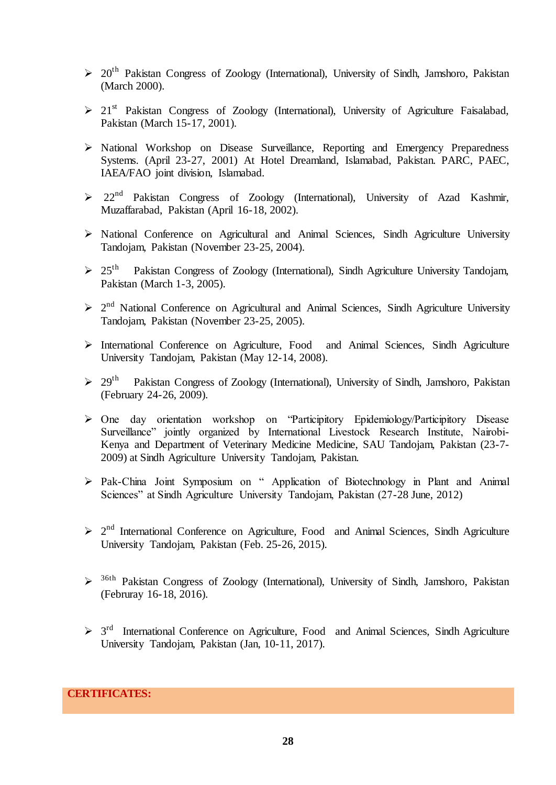- $\geq 20$ <sup>th</sup> Pakistan Congress of Zoology (International), University of Sindh, Jamshoro, Pakistan (March 2000).
- $\geq 21$ <sup>st</sup> Pakistan Congress of Zoology (International), University of Agriculture Faisalabad, Pakistan (March 15-17, 2001).
- National Workshop on Disease Surveillance, Reporting and Emergency Preparedness Systems. (April 23-27, 2001) At Hotel Dreamland, Islamabad, Pakistan. PARC, PAEC, IAEA/FAO joint division, Islamabad.
- $\geq 22^{nd}$  Pakistan Congress of Zoology (International), University of Azad Kashmir, Muzaffarabad, Pakistan (April 16-18, 2002).
- > National Conference on Agricultural and Animal Sciences, Sindh Agriculture University Tandojam, Pakistan (November 23-25, 2004).
- $\geqslant$  25<sup>th</sup> Pakistan Congress of Zoology (International), Sindh Agriculture University Tandojam, Pakistan (March 1-3, 2005).
- $\geq 2^{nd}$  National Conference on Agricultural and Animal Sciences, Sindh Agriculture University Tandojam, Pakistan (November 23-25, 2005).
- International Conference on Agriculture, Food and Animal Sciences, Sindh Agriculture University Tandojam, Pakistan (May 12-14, 2008).
- $\triangleright$  29<sup>th</sup> Pakistan Congress of Zoology (International), University of Sindh, Jamshoro, Pakistan (February 24-26, 2009).
- > One day orientation workshop on 'Participitory Epidemiology/Participitory Disease Surveillance" jointly organized by International Livestock Research Institute, Nairobi-Kenya and Department of Veterinary Medicine Medicine, SAU Tandojam, Pakistan (23-7- 2009) at Sindh Agriculture University Tandojam, Pakistan.
- > Pak-China Joint Symposium on "Application of Biotechnology in Plant and Animal Sciences" at Sindh Agriculture University Tandojam, Pakistan (27-28 June, 2012)
- $\geq 2^{nd}$  International Conference on Agriculture, Food and Animal Sciences, Sindh Agriculture University Tandojam, Pakistan (Feb. 25-26, 2015).
- <sup>36th</sup> Pakistan Congress of Zoology (International), University of Sindh, Jamshoro, Pakistan (Februray 16-18, 2016).
- $>$  3<sup>rd</sup> International Conference on Agriculture, Food and Animal Sciences, Sindh Agriculture University Tandojam, Pakistan (Jan, 10-11, 2017).

# **CERTIFICATES:**